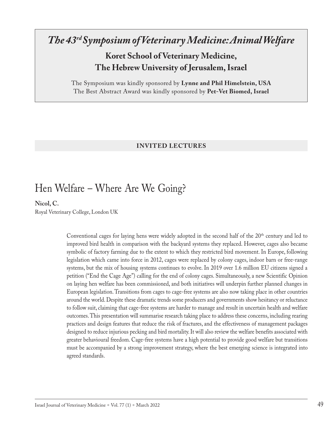### *The 43rd Symposium of Veterinary Medicine: Animal Welfare*

**Koret School of Veterinary Medicine, The Hebrew University of Jerusalem, Israel**

The Symposium was kindly sponsored by **Lynne and Phil Himelstein, USA** The Best Abstract Award was kindly sponsored by **Pet-Vet Biomed, Israel**

#### **INVITED LECTURES**

### Hen Welfare – Where Are We Going?

**Nicol, C.** 

Royal Veterinary College, London UK

Conventional cages for laying hens were widely adopted in the second half of the 20<sup>th</sup> century and led to improved bird health in comparison with the backyard systems they replaced. However, cages also became symbolic of factory farming due to the extent to which they restricted bird movement. In Europe, following legislation which came into force in 2012, cages were replaced by colony cages, indoor barn or free-range systems, but the mix of housing systems continues to evolve. In 2019 over 1.6 million EU citizens signed a petition ("End the Cage Age") calling for the end of colony cages. Simultaneously, a new Scientific Opinion on laying hen welfare has been commissioned, and both initiatives will underpin further planned changes in European legislation. Transitions from cages to cage-free systems are also now taking place in other countries around the world. Despite these dramatic trends some producers and governments show hesitancy or reluctance to follow suit, claiming that cage-free systems are harder to manage and result in uncertain health and welfare outcomes. This presentation will summarise research taking place to address these concerns, including rearing practices and design features that reduce the risk of fractures, and the effectiveness of management packages designed to reduce injurious pecking and bird mortality. It will also review the welfare benefits associated with greater behavioural freedom. Cage-free systems have a high potential to provide good welfare but transitions must be accompanied by a strong improvement strategy, where the best emerging science is integrated into agreed standards.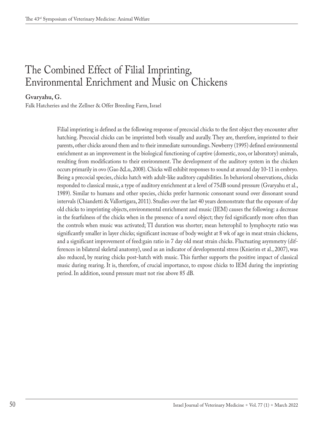# The Combined Effect of Filial Imprinting, Environmental Enrichment and Music on Chickens

### **Gvaryahu, G.**

Falk Hatcheries and the Zellner & Offer Breeding Farm, Israel

Filial imprinting is defined as the following response of precocial chicks to the first object they encounter after hatching. Precocial chicks can be imprinted both visually and aurally. They are, therefore, imprinted to their parents, other chicks around them and to their immediate surroundings. Newberry (1995) defined environmental enrichment as an improvement in the biological functioning of captive (domestic, zoo, or laboratory) animals, resulting from modifications to their environment. The development of the auditory system in the chicken occurs primarily in ovo (Gao &Lu, 2008). Chicks will exhibit responses to sound at around day 10-11 in embryo. Being a precocial species, chicks hatch with adult-like auditory capabilities. In behavioral observations, chicks responded to classical music, a type of auditory enrichment at a level of 75dB sound pressure (Gvaryahu et al., 1989). Similar to humans and other species, chicks prefer harmonic consonant sound over dissonant sound intervals (Chiandetti & Vallortigara, 2011). Studies over the last 40 years demonstrate that the exposure of day old chicks to imprinting objects, environmental enrichment and music (IEM) causes the following: a decrease in the fearfulness of the chicks when in the presence of a novel object; they fed significantly more often than the controls when music was activated; TI duration was shorter; mean heterophil to lymphocyte ratio was significantly smaller in layer chicks; significant increase of body weight at 8 wk of age in meat strain chickens, and a significant improvement of feed:gain ratio in 7 day old meat strain chicks. Fluctuating asymmetry (differences in bilateral skeletal anatomy), used as an indicator of developmental stress (Knierim et al., 2007), was also reduced, by rearing chicks post-hatch with music. This further supports the positive impact of classical music during rearing. It is, therefore, of crucial importance, to expose chicks to IEM during the imprinting period. In addition, sound pressure must not rise above 85 dB.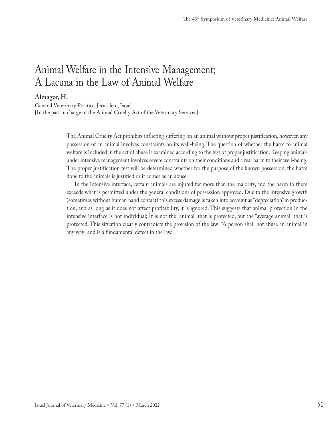## Animal Welfare in the Intensive Management; A Lacuna in the Law of Animal Welfare

### **Almagor, H.**

General Veterinary Practice, Jerusalem, Israel [In the past in charge of the Animal Cruelty Act of the Veterinary Services]

> The Animal Cruelty Act prohibits inflicting suffering on an animal without proper justification, however, any possession of an animal involves constraints on its well-being. The question of whether the harm to animal welfare is included in the act of abuse is examined according to the test of proper justification. Keeping animals under intensive management involves severe constraints on their conditions and a real harm to their well-being. The proper justification test will be determined whether for the purpose of the known possession, the harm done to the animals is justified or it comes as an abuse.

> In the intensive interface, certain animals are injured far more than the majority, and the harm to them exceeds what is permitted under the general conditions of possession approved. Due to the intensive growth (sometimes without human hand contact) this excess damage is taken into account as "depreciation" in production, and as long as it does not affect profitability, it is ignored. This suggests that animal protection in the intensive interface is not individual; It is not the "animal" that is protected, but the "average animal" that is protected. This situation clearly contradicts the provision of the law: "A person shall not abuse an animal in any way" and is a fundamental defect in the law.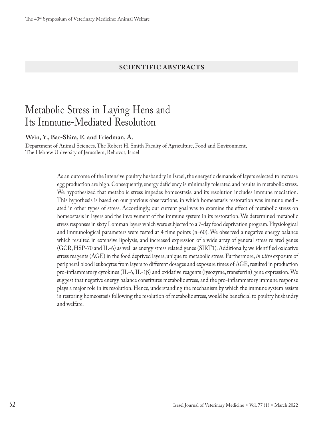#### **SCIENTIFIC ABSTRACTS**

### Metabolic Stress in Laying Hens and Its Immune-Mediated Resolution

**Wein, Y., Bar-Shira, E. and Friedman, A.**

Department of Animal Sciences, The Robert H. Smith Faculty of Agriculture, Food and Environment, The Hebrew University of Jerusalem, Rehovot, Israel

> As an outcome of the intensive poultry husbandry in Israel, the energetic demands of layers selected to increase egg production are high. Consequently, energy deficiency is minimally tolerated and results in metabolic stress. We hypothesized that metabolic stress impedes homeostasis, and its resolution includes immune mediation. This hypothesis is based on our previous observations, in which homeostasis restoration was immune mediated in other types of stress. Accordingly, our current goal was to examine the effect of metabolic stress on homeostasis in layers and the involvement of the immune system in its restoration. We determined metabolic stress responses in sixty Lomman layers which were subjected to a 7-day food deprivation program. Physiological and immunological parameters were tested at 4 time points (n=60). We observed a negative energy balance which resulted in extensive lipolysis, and increased expression of a wide array of general stress related genes (GCR, HSP-70 and IL-6) as well as energy stress related genes (SIRT1). Additionally, we identified oxidative stress reagents (AGE) in the food deprived layers, unique to metabolic stress. Furthermore, *in vitro* exposure of peripheral blood leukocytes from layers to different dosages and exposure times of AGE, resulted in production pro-inflammatory cytokines (IL-6, IL-1β) and oxidative reagents (lysozyme, transferrin) gene expression. We suggest that negative energy balance constitutes metabolic stress, and the pro-inflammatory immune response plays a major role in its resolution. Hence, understanding the mechanism by which the immune system assists in restoring homeostasis following the resolution of metabolic stress, would be beneficial to poultry husbandry and welfare.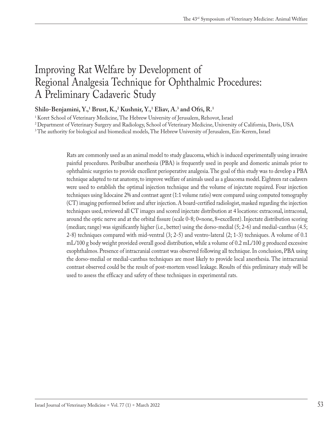## Improving Rat Welfare by Development of Regional Analgesia Technique for Ophthalmic Procedures: A Preliminary Cadaveric Study

### $\mathbf{Shilo}\text{-}\mathbf{Benjamini}\text{, } \mathbf{Y}$ <sup>1</sup>,  $\mathbf{Brust}\text{, }\mathbf{K}$ <sub>2</sub> Kushnir,  $\mathbf{Y}$ <sub>2</sub>, Eliav, A<sup>3</sup> and Ofri, R<sup>1</sup>

<sup>1</sup> Koret School of Veterinary Medicine, The Hebrew University of Jerusalem, Rehovot, Israel

<sup>2</sup> Department of Veterinary Surgery and Radiology, School of Veterinary Medicine, University of California, Davis, USA

<sup>3</sup> The authority for biological and biomedical models, The Hebrew University of Jerusalem, Ein-Kerem, Israel

Rats are commonly used as an animal model to study glaucoma, which is induced experimentally using invasive painful procedures. Peribulbar anesthesia (PBA) is frequently used in people and domestic animals prior to ophthalmic surgeries to provide excellent perioperative analgesia. The goal of this study was to develop a PBA technique adapted to rat anatomy, to improve welfare of animals used as a glaucoma model. Eighteen rat cadavers were used to establish the optimal injection technique and the volume of injectate required. Four injection techniques using lidocaine 2% and contrast agent (1:1 volume ratio) were compared using computed tomography (CT) imaging performed before and after injection. A board-certified radiologist, masked regarding the injection techniques used, reviewed all CT images and scored injectate distribution at 4 locations: extraconal, intraconal, around the optic nerve and at the orbital fissure (scale 0-8; 0=none, 8=excellent). Injectate distribution scoring (median; range) was significantly higher (i.e., better) using the dorso-medial (5; 2-6) and medial-canthus (4.5; 2-8) techniques compared with mid-ventral (3; 2-5) and ventro-lateral (2; 1-3) techniques. A volume of 0.1 mL/100 g body weight provided overall good distribution, while a volume of 0.2 mL/100 g produced excessive exophthalmos. Presence of intracranial contrast was observed following all technique. In conclusion, PBA using the dorso-medial or medial-canthus techniques are most likely to provide local anesthesia. The intracranial contrast observed could be the result of post-mortem vessel leakage. Results of this preliminary study will be used to assess the efficacy and safety of these techniques in experimental rats.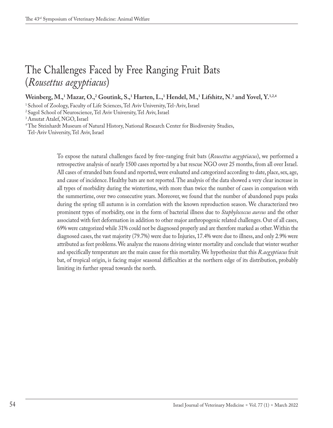# The Challenges Faced by Free Ranging Fruit Bats (*Rousettus aegyptiacus*)

### **Weinberg, M.,1 Mazar, O.,2 Goutink, S.,1 Harten, L.,1 Hendel, M.,1 Lifshitz, N.3 and Yovel, Y.1,2,4**

<sup>1</sup> School of Zoology, Faculty of Life Sciences, Tel Aviv University, Tel-Aviv, Israel

<sup>2</sup> Sagol School of Neuroscience, Tel Aviv University, Tel Aviv, Israel

<sup>3</sup> Amutat Atalef, NGO, Israel

<sup>4</sup> The Steinhardt Museum of Natural History, National Research Center for Biodiversity Studies,

Tel-Aviv University, Tel Aviv, Israel

To expose the natural challenges faced by free-ranging fruit bats (*Rousettus aegyptiacus*), we performed a retrospective analysis of nearly 1500 cases reported by a bat rescue NGO over 25 months, from all over Israel. All cases of stranded bats found and reported, were evaluated and categorized according to date, place, sex, age, and cause of incidence. Healthy bats are not reported. The analysis of the data showed a very clear increase in all types of morbidity during the wintertime, with more than twice the number of cases in comparison with the summertime, over two consecutive years. Moreover, we found that the number of abandoned pups peaks during the spring till autumn is in correlation with the known reproduction season. We characterized two prominent types of morbidity, one in the form of bacterial illness due to *Staphylococcus aureus* and the other associated with feet deformation in addition to other major anthropogenic related challenges. Out of all cases, 69% were categorized while 31% could not be diagnosed properly and are therefore marked as other. Within the diagnosed cases, the vast majority (79.7%) were due to Injuries, 17.4% were due to illness, and only 2.9% were attributed as feet problems. We analyze the reasons driving winter mortality and conclude that winter weather and specifically temperature are the main cause for this mortality. We hypothesize that this *R.aegyptiacus* fruit bat, of tropical origin, is facing major seasonal difficulties at the northern edge of its distribution, probably limiting its further spread towards the north.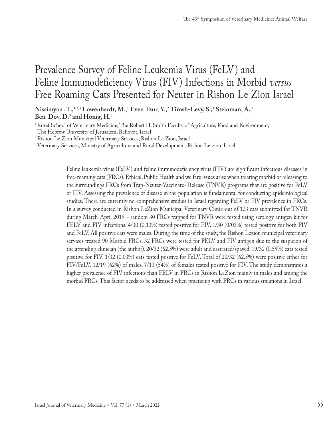## Prevalence Survey of Feline Leukemia Virus (FeLV) and Feline Immunodeficiency Virus (FIV) Infections in Morbid *versus* Free Roaming Cats Presented for Neuter in Rishon Le Zion Israel

Nissimyan , T.,<sup>1,2,3</sup> Lowenhardt, M.,<sup>1</sup> Even Tzur, Y.,<sup>2</sup> Tirosh-Levy, S.,<sup>1</sup> Steinman, A.,<sup>1</sup> **Ben-Dov, D.3 and Honig, H.3**

<sup>1</sup> Koret School of Veterinary Medicine, The Robert H. Smith Faculty of Agriculture, Food and Environment,

The Hebrew University of Jerusalem, Rehovot, Israel

2Rishon Le Zion Municipal Veterinary Services, Rishon Le Zion, Israel

<sup>3</sup> Veterinary Services, Ministry of Agriculture and Rural Development, Rishon Letzion, Israel

Feline leukemia virus (FeLV) and feline immunodeficiency virus (FIV) are significant infectious diseases in free-roaming cats (FRCs). Ethical, Public Health and welfare issues arise when treating morbid or releasing to the surroundings FRCs from Trap-Neuter-Vaccinate- Release (TNVR) programs that are positive for FeLV or FIV. Assessing the prevalence of disease in the population is fundamental for conducting epidemiological studies. There are currently no comprehensive studies in Israel regarding FeLV or FIV prevalence in FRCs. In a survey conducted in Rishon LeZion Municipal Veterinary Clinic-out of 103 cats submitted for TNVR during March-April 2019 – random 30 FRCs trapped for TNVR were tested using serology antigen kit for FELV and FIV infections. 4/30 (0.13%) tested positive for FIV. 1/30 (0/03%) tested positive for both FIV and FeLV. All positive cats were males. During the time of the study, the Rishon Lezion municipal veterinary services treated 90 Morbid FRCs. 32 FRCs were tested for FELV and FIV antigen due to the suspicion of the attending clinician (the author). 20/32 (62.5%) were adult and castrated/spayed. 19/32 (0.59%) cats tested positive for FIV. 1/32 (0.03%) cats tested positive for FeLV. Total of 20/32 (62.5%) were positive either for FIV/FeLV. 12/19 (62%) of males, 7/13 (54%) of females tested positive for FIV. The study demonstrates a higher prevalence of FIV infections than FELV in FRCs in Rishon LeZion mainly in males and among the morbid FRCs. This factor needs to be addressed when practicing with FRCs in various situations in Israel.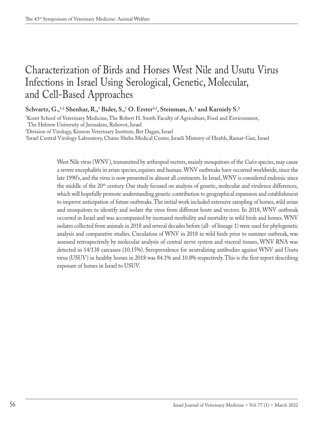# Characterization of Birds and Horses West Nile and Usutu Virus Infections in Israel Using Serological, Genetic, Molecular, and Cell-Based Approaches

Schvartz, G.,<sup>1,2</sup> Shenhar, R.,<sup>1</sup> Bider, S.,<sup>1</sup> O. Erster<sup>2,3</sup>, Steinman, A.<sup>1</sup> and Karniely S.<sup>2</sup>

1 Koret School of Veterinary Medicine, The Robert H. Smith Faculty of Agriculture, Food and Environment,

The Hebrew University of Jerusalem, Rehovot, Israel

2 Division of Virology, Kimron Veterinary Institute, Bet Dagan, Israel

3 Israel Central Virology Laboratory, Chaim Sheba Medical Center, Israeli Ministry of Health, Ramat-Gan, Israel

West Nile virus (WNV), transmitted by arthropod vectors, mainly mosquitoes of the *Culex* species, may cause a severe encephalitis in avian species, equines and human. WNV outbreaks have occurred worldwide, since the late 1990's, and the virus is now presented in almost all continents. In Israel, WNV is considered endemic since the middle of the 20th century. Our study focused on analysis of genetic, molecular and virulence differences, which will hopefully promote understanding genetic contribution to geographical expansion and establishment to improve anticipation of future outbreaks. The initial work included extensive sampling of horses, wild avian and mosquitoes to identify and isolate the virus from different hosts and vectors. In 2018, WNV outbreak occurred in Israel and was accompanied by increased morbidity and mortality in wild birds and horses. WNV isolates collected from animals in 2018 and several decades before (all- of lineage 1) were used for phylogenetic analysis and comparative studies. Circulation of WNV in 2018 in wild birds prior to summer outbreak, was assessed retrospectively by molecular analysis of central nerve system and visceral tissues, WNV RNA was detected in 14/138 carcasses (10.15%). Seroprevalence for neutralizing antibodies against WNV and Usutu virus (USUV) in healthy horses in 2018 was 84.1% and 10.8% respectively. This is the first report describing exposure of horses in Israel to USUV.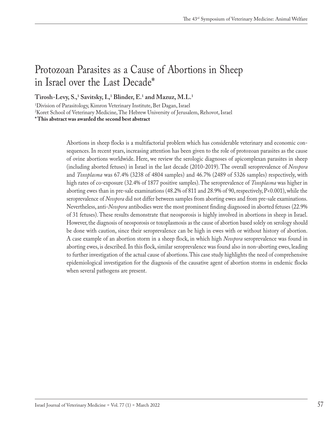## Protozoan Parasites as a Cause of Abortions in Sheep in Israel over the Last Decade\*

**Tirosh-Levy, S.,1 Savitsky, I.,1 Blinder, E.1 and Mazuz, M.L.1**

1 Division of Parasitology, Kimron Veterinary Institute, Bet Dagan, Israel 2 Koret School of Veterinary Medicine, The Hebrew University of Jerusalem, Rehovot, Israel **\*This abstract was awarded the second best abstract**

> Abortions in sheep flocks is a multifactorial problem which has considerable veterinary and economic consequences. In recent years, increasing attention has been given to the role of protozoan parasites as the cause of ovine abortions worldwide. Here, we review the serologic diagnoses of apicomplexan parasites in sheep (including aborted fetuses) in Israel in the last decade (2010-2019). The overall seroprevalence of *Neospora*  and *Toxoplasma* was 67.4% (3238 of 4804 samples) and 46.7% (2489 of 5326 samples) respectively, with high rates of co-exposure (32.4% of 1877 positive samples). The seroprevalence of *Toxoplasma* was higher in aborting ewes than in pre-sale examinations (48.2% of 811 and 28.9% of 90, respectively, P<0.001), while the seroprevalence of *Neospora* did not differ between samples from aborting ewes and from pre-sale examinations. Nevertheless, anti-*Neospora* antibodies were the most prominent finding diagnosed in aborted fetuses (22.9% of 31 fetuses). These results demonstrate that neosporosis is highly involved in abortions in sheep in Israel. However, the diagnosis of neosporosis or toxoplasmosis as the cause of abortion based solely on serology should be done with caution, since their seroprevalence can be high in ewes with or without history of abortion. A case example of an abortion storm in a sheep flock, in which high *Neospora* seroprevalence was found in aborting ewes, is described. In this flock, similar seroprevalence was found also in non-aborting ewes, leading to further investigation of the actual cause of abortions. This case study highlights the need of comprehensive epidemiological investigation for the diagnosis of the causative agent of abortion storms in endemic flocks when several pathogens are present.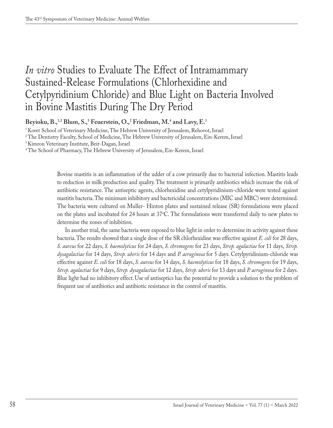# *In vitro* Studies to Evaluate The Effect of Intramammary Sustained-Release Formulations (Chlorhexidine and Cetylpyridinium Chloride) and Blue Light on Bacteria Involved in Bovine Mastitis During The Dry Period

**Beyioku, B.,1,2 Blum, S.,3 Feuerstein, O.,2 Friedman, M.4 and Lavy, E.1**

<sup>1</sup> Koret School of Veterinary Medicine, The Hebrew University of Jerusalem, Rehovot, Israel

<sup>2</sup> The Dentistry Faculty, School of Medicine, The Hebrew University of Jerusalem, Ein-Kerem, Israel

<sup>3</sup> Kimron Veterinary Institute, Beit-Dagan, Israel

<sup>4</sup> The School of Pharmacy, The Hebrew University of Jerusalem, Ein-Kerem, Israel

Bovine mastitis is an inflammation of the udder of a cow primarily due to bacterial infection. Mastitis leads to reduction in milk production and quality. The treatment is primarily antibiotics which increase the risk of antibiotic resistance. The antiseptic agents, chlorhexidine and cetylpyridinium-chloride were tested against mastitis bacteria. The minimum inhibitory and bactericidal concentrations (MIC and MBC) were determined. The bacteria were cultured on Muller- Hinton plates and sustained release (SR) formulations were placed on the plates and incubated for 24 hours at 37°C. The formulations were transferred daily to new plates to determine the zones of inhibition.

In another trial, the same bacteria were exposed to blue light in order to determine its activity against these bacteria. The results showed that a single dose of the SR chlorhexidine was effective against *E. coli* for 28 days, *S. aureus* for 22 days, *S. haemolyticus* for 24 days, *S. chromogens* for 23 days, *Strep. agalactiae* for 11 days, *Strep. dysagalactiae* for 14 days, *Strep. uberis* for 14 days and *P. aeruginosa* for 5 days. Cetylpyridinium-chloride was effective against *E. coli* for 18 days, *S. aureus* for 14 days, *S. haemolyticus* for 18 days, *S. chromogens* for 19 days, *Strep. agalactiae* for 9 days, *Strep. dysagalactiae* for 12 days, *Strep. uberis* for 13 days and *P. aeruginosa* for 2 days. Blue light had no inhibitory effect. Use of antiseptics has the potential to provide a solution to the problem of frequent use of antibiotics and antibiotic resistance in the control of mastitis.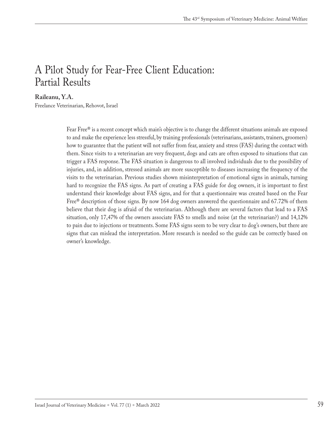## A Pilot Study for Fear-Free Client Education: Partial Results

#### **Raileanu, Y.A.**

Freelance Veterinarian, Rehovot, Israel

Fear Free® is a recent concept which main's objective is to change the different situations animals are exposed to and make the experience less stressful, by training professionals (veterinarians, assistants, trainers, groomers) how to guarantee that the patient will not suffer from fear, anxiety and stress (FAS) during the contact with them. Since visits to a veterinarian are very frequent, dogs and cats are often exposed to situations that can trigger a FAS response. The FAS situation is dangerous to all involved individuals due to the possibility of injuries, and, in addition, stressed animals are more susceptible to diseases increasing the frequency of the visits to the veterinarian. Previous studies shown misinterpretation of emotional signs in animals, turning hard to recognize the FAS signs. As part of creating a FAS guide for dog owners, it is important to first understand their knowledge about FAS signs, and for that a questionnaire was created based on the Fear Free® description of those signs. By now 164 dog owners answered the questionnaire and 67.72% of them believe that their dog is afraid of the veterinarian. Although there are several factors that lead to a FAS situation, only 17,47% of the owners associate FAS to smells and noise (at the veterinarian?) and 14,12% to pain due to injections or treatments. Some FAS signs seem to be very clear to dog's owners, but there are signs that can mislead the interpretation. More research is needed so the guide can be correctly based on owner's knowledge.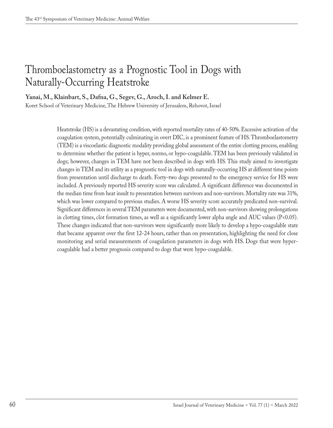# Thromboelastometry as a Prognostic Tool in Dogs with Naturally-Occurring Heatstroke

**Yanai, M., Klainbart, S., Dafna, G., Segev, G., Aroch, I. and Kelmer E.**

Koret School of Veterinary Medicine, The Hebrew University of Jerusalem, Rehovot, Israel

Heatstroke (HS) is a devastating condition, with reported mortality rates of 40-50%. Excessive activation of the coagulation system, potentially culminating in overt DIC, is a prominent feature of HS. Thromboelastometry (TEM) is a viscoelastic diagnostic modality providing global assessment of the entire clotting process, enabling to determine whether the patient is hyper, normo, or hypo-coagulable. TEM has been previously validated in dogs; however, changes in TEM have not been described in dogs with HS. This study aimed to investigate changes in TEM and its utility as a prognostic tool in dogs with naturally-occurring HS at different time points from presentation until discharge to death. Forty-two dogs presented to the emergency service for HS were included. A previously reported HS severity score was calculated. A significant difference was documented in the median time from heat insult to presentation between survivors and non-survivors. Mortality rate was 31%, which was lower compared to previous studies. A worse HS severity score accurately predicated non-survival. Significant differences in several TEM parameters were documented, with non-survivors showing prolongations in clotting times, clot formation times, as well as a significantly lower alpha angle and AUC values  $(P<0.05)$ . These changes indicated that non-survivors were significantly more likely to develop a hypo-coagulable state that became apparent over the first 12-24 hours, rather than on presentation, highlighting the need for close monitoring and serial measurements of coagulation parameters in dogs with HS. Dogs that were hypercoagulable had a better prognosis compared to dogs that were hypo-coagulable.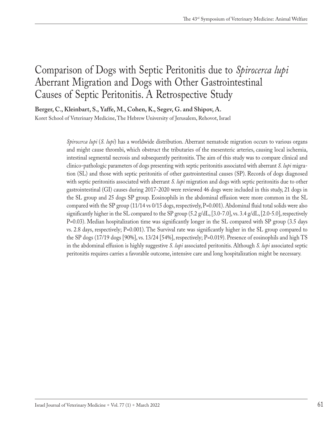## Comparison of Dogs with Septic Peritonitis due to *Spirocerca lupi* Aberrant Migration and Dogs with Other Gastrointestinal Causes of Septic Peritonitis. A Retrospective Study

**Berger, C., Kleinbart, S., Yaffe, M., Cohen, K., Segev, G. and Shipov, A.**

Koret School of Veterinary Medicine, The Hebrew University of Jerusalem, Rehovot, Israel

*Spirocerca lupi* (*S. lupi*) has a worldwide distribution. Aberrant nematode migration occurs to various organs and might cause thrombi, which obstruct the tributaries of the mesenteric arteries, causing local ischemia, intestinal segmental necrosis and subsequently peritonitis. The aim of this study was to compare clinical and clinico-pathologic parameters of dogs presenting with septic peritonitis associated with aberrant *S. lupi* migration (SL) and those with septic peritonitis of other gastrointestinal causes (SP). Records of dogs diagnosed with septic peritonitis associated with aberrant *S. lupi* migration and dogs with septic peritonitis due to other gastrointestinal (GI) causes during 2017-2020 were reviewed 46 dogs were included in this study, 21 dogs in the SL group and 25 dogs SP group. Eosinophils in the abdominal effusion were more common in the SL compared with the SP group (11/14 vs 0/15 dogs, respectively, P=0.001). Abdominal fluid total solids were also significantly higher in the SL compared to the SP group  $(5.2 \text{ g/dL}, [3.0-7.0], \text{vs. } 3.4 \text{ g/dL}, [2.0-5.0], \text{respectively}$ P=0.03). Median hospitalization time was significantly longer in the SL compared with SP group (3.5 days vs. 2.8 days, respectively; P=0.001). The Survival rate was significantly higher in the SL group compared to the SP dogs (17/19 dogs [90%], vs. 13/24 [54%], respectively; P=0.019). Presence of eosinophils and high TS in the abdominal effusion is highly suggestive *S. lupi* associated peritonitis. Although *S. lupi* associated septic peritonitis requires carries a favorable outcome, intensive care and long hospitalization might be necessary.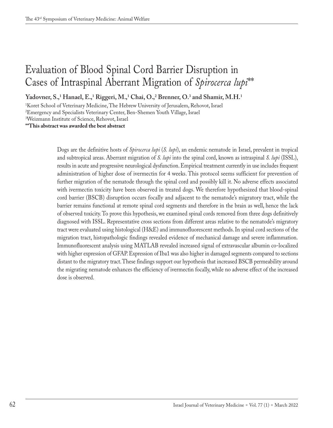## Evaluation of Blood Spinal Cord Barrier Disruption in Cases of Intraspinal Aberrant Migration of *Spirocerca lupi*\*\*

Yadovner, S.,<sup>1</sup> Hanael, E.,<sup>1</sup> Riggeri, M.,<sup>1</sup> Chai, O.,<sup>2</sup> Brenner, O.<sup>3</sup> and Shamir, M.H.<sup>1</sup>

1 Koret School of Veterinary Medicine, The Hebrew University of Jerusalem, Rehovot, Israel

2 Emergency and Specialists Veterinary Center, Ben-Shemen Youth Village, Israel

3 Weizmann Institute of Science, Rehovot, Israel

**\*\*This abstract was awarded the best abstract**

Dogs are the definitive hosts of *Spirocerca lupi* (*S. lupi*), an endemic nematode in Israel, prevalent in tropical and subtropical areas. Aberrant migration of *S. lupi* into the spinal cord, known as intraspinal *S. lupi* (ISSL), results in acute and progressive neurological dysfunction. Empirical treatment currently in use includes frequent administration of higher dose of ivermectin for 4 weeks. This protocol seems sufficient for prevention of further migration of the nematode through the spinal cord and possibly kill it. No adverse effects associated with ivermectin toxicity have been observed in treated dogs. We therefore hypothesized that blood-spinal cord barrier (BSCB) disruption occurs focally and adjacent to the nematode's migratory tract, while the barrier remains functional at remote spinal cord segments and therefore in the brain as well, hence the lack of observed toxicity. To prove this hypothesis, we examined spinal cords removed from three dogs definitively diagnosed with ISSL. Representative cross sections from different areas relative to the nematode's migratory tract were evaluated using histological (H&E) and immunofluorescent methods. In spinal cord sections of the migration tract, histopathologic findings revealed evidence of mechanical damage and severe inflammation. Immunofluorescent analysis using MATLAB revealed increased signal of extravascular albumin co-localized with higher expression of GFAP. Expression of Iba1 was also higher in damaged segments compared to sections distant to the migratory tract. These findings support our hypothesis that increased BSCB permeability around the migrating nematode enhances the efficiency of ivermectin focally, while no adverse effect of the increased dose is observed.